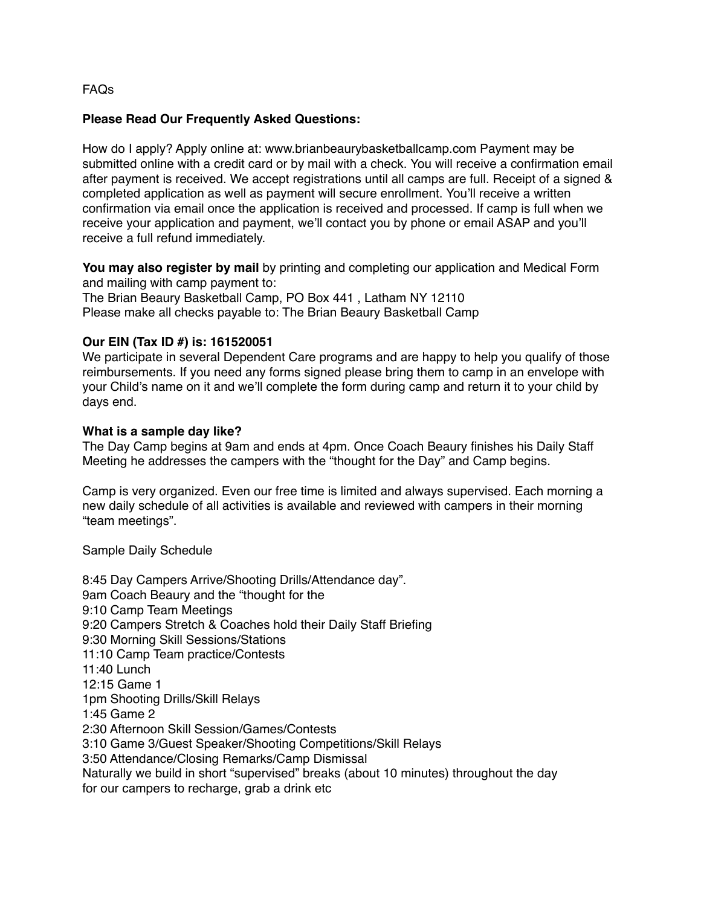## FAQs

### **Please Read Our Frequently Asked Questions:**

How do I apply? Apply online at: www.brianbeaurybasketballcamp.com Payment may be submitted online with a credit card or by mail with a check. You will receive a confirmation email after payment is received. We accept registrations until all camps are full. Receipt of a signed & completed application as well as payment will secure enrollment. You'll receive a written confirmation via email once the application is received and processed. If camp is full when we receive your application and payment, we'll contact you by phone or email ASAP and you'll receive a full refund immediately.

**You may also register by mail** by printing and completing our application and Medical Form and mailing with camp payment to:

The Brian Beaury Basketball Camp, PO Box 441 , Latham NY 12110 Please make all checks payable to: The Brian Beaury Basketball Camp

## **Our EIN (Tax ID #) is: 161520051**

We participate in several Dependent Care programs and are happy to help you qualify of those reimbursements. If you need any forms signed please bring them to camp in an envelope with your Child's name on it and we'll complete the form during camp and return it to your child by days end.

### **What is a sample day like?**

The Day Camp begins at 9am and ends at 4pm. Once Coach Beaury finishes his Daily Staff Meeting he addresses the campers with the "thought for the Day" and Camp begins.

Camp is very organized. Even our free time is limited and always supervised. Each morning a new daily schedule of all activities is available and reviewed with campers in their morning "team meetings".

Sample Daily Schedule

8:45 Day Campers Arrive/Shooting Drills/Attendance day". 9am Coach Beaury and the "thought for the 9:10 Camp Team Meetings 9:20 Campers Stretch & Coaches hold their Daily Staff Briefing 9:30 Morning Skill Sessions/Stations 11:10 Camp Team practice/Contests 11:40 Lunch 12:15 Game 1 1pm Shooting Drills/Skill Relays 1:45 Game 2 2:30 Afternoon Skill Session/Games/Contests 3:10 Game 3/Guest Speaker/Shooting Competitions/Skill Relays 3:50 Attendance/Closing Remarks/Camp Dismissal Naturally we build in short "supervised" breaks (about 10 minutes) throughout the day for our campers to recharge, grab a drink etc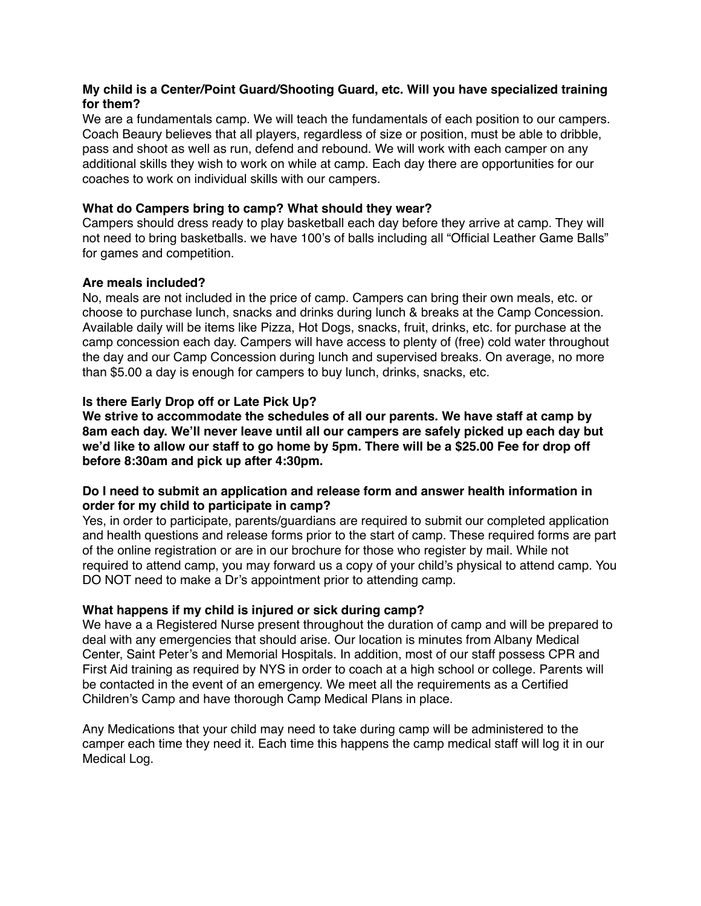# **My child is a Center/Point Guard/Shooting Guard, etc. Will you have specialized training for them?**

We are a fundamentals camp. We will teach the fundamentals of each position to our campers. Coach Beaury believes that all players, regardless of size or position, must be able to dribble, pass and shoot as well as run, defend and rebound. We will work with each camper on any additional skills they wish to work on while at camp. Each day there are opportunities for our coaches to work on individual skills with our campers.

# **What do Campers bring to camp? What should they wear?**

Campers should dress ready to play basketball each day before they arrive at camp. They will not need to bring basketballs. we have 100's of balls including all "Official Leather Game Balls" for games and competition.

## **Are meals included?**

No, meals are not included in the price of camp. Campers can bring their own meals, etc. or choose to purchase lunch, snacks and drinks during lunch & breaks at the Camp Concession. Available daily will be items like Pizza, Hot Dogs, snacks, fruit, drinks, etc. for purchase at the camp concession each day. Campers will have access to plenty of (free) cold water throughout the day and our Camp Concession during lunch and supervised breaks. On average, no more than \$5.00 a day is enough for campers to buy lunch, drinks, snacks, etc.

# **Is there Early Drop off or Late Pick Up?**

**We strive to accommodate the schedules of all our parents. We have staff at camp by 8am each day. We'll never leave until all our campers are safely picked up each day but we'd like to allow our staff to go home by 5pm. There will be a \$25.00 Fee for drop off before 8:30am and pick up after 4:30pm.** 

## **Do I need to submit an application and release form and answer health information in order for my child to participate in camp?**

Yes, in order to participate, parents/guardians are required to submit our completed application and health questions and release forms prior to the start of camp. These required forms are part of the online registration or are in our brochure for those who register by mail. While not required to attend camp, you may forward us a copy of your child's physical to attend camp. You DO NOT need to make a Dr's appointment prior to attending camp.

## **What happens if my child is injured or sick during camp?**

We have a a Registered Nurse present throughout the duration of camp and will be prepared to deal with any emergencies that should arise. Our location is minutes from Albany Medical Center, Saint Peter's and Memorial Hospitals. In addition, most of our staff possess CPR and First Aid training as required by NYS in order to coach at a high school or college. Parents will be contacted in the event of an emergency. We meet all the requirements as a Certified Children's Camp and have thorough Camp Medical Plans in place.

Any Medications that your child may need to take during camp will be administered to the camper each time they need it. Each time this happens the camp medical staff will log it in our Medical Log.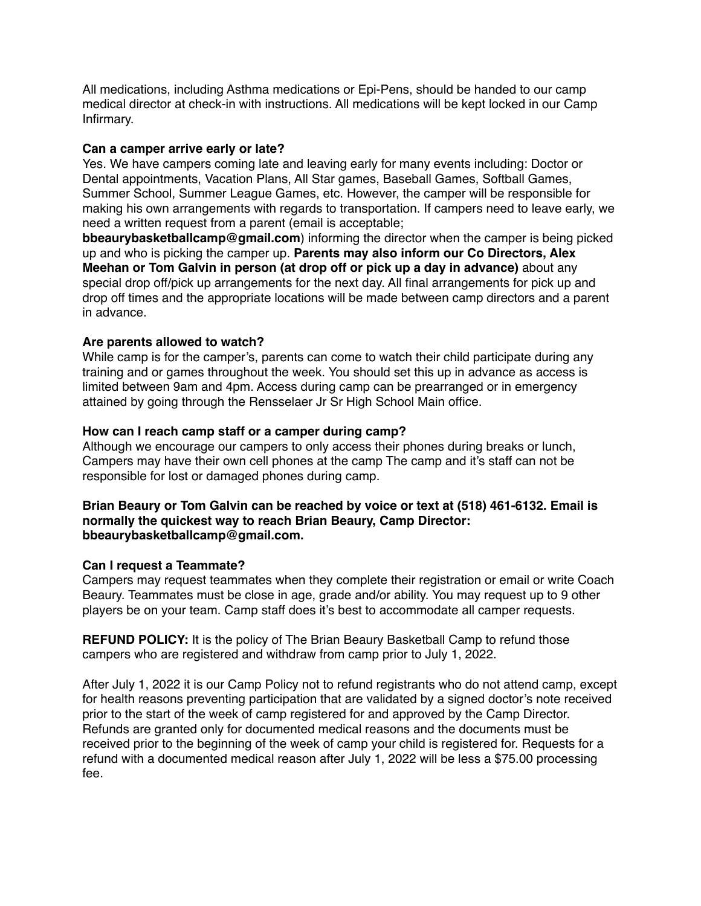All medications, including Asthma medications or Epi-Pens, should be handed to our camp medical director at check-in with instructions. All medications will be kept locked in our Camp Infirmary.

### **Can a camper arrive early or late?**

Yes. We have campers coming late and leaving early for many events including: Doctor or Dental appointments, Vacation Plans, All Star games, Baseball Games, Softball Games, Summer School, Summer League Games, etc. However, the camper will be responsible for making his own arrangements with regards to transportation. If campers need to leave early, we need a written request from a parent (email is acceptable;

**bbeaurybasketballcamp@gmail.com**) informing the director when the camper is being picked up and who is picking the camper up. **Parents may also inform our Co Directors, Alex Meehan or Tom Galvin in person (at drop off or pick up a day in advance)** about any special drop off/pick up arrangements for the next day. All final arrangements for pick up and drop off times and the appropriate locations will be made between camp directors and a parent in advance.

## **Are parents allowed to watch?**

While camp is for the camper's, parents can come to watch their child participate during any training and or games throughout the week. You should set this up in advance as access is limited between 9am and 4pm. Access during camp can be prearranged or in emergency attained by going through the Rensselaer Jr Sr High School Main office.

## **How can I reach camp staff or a camper during camp?**

Although we encourage our campers to only access their phones during breaks or lunch, Campers may have their own cell phones at the camp The camp and it's staff can not be responsible for lost or damaged phones during camp.

**Brian Beaury or Tom Galvin can be reached by voice or text at (518) 461-6132. Email is normally the quickest way to reach Brian Beaury, Camp Director: bbeaurybasketballcamp@gmail.com.**

## **Can I request a Teammate?**

Campers may request teammates when they complete their registration or email or write Coach Beaury. Teammates must be close in age, grade and/or ability. You may request up to 9 other players be on your team. Camp staff does it's best to accommodate all camper requests.

**REFUND POLICY:** It is the policy of The Brian Beaury Basketball Camp to refund those campers who are registered and withdraw from camp prior to July 1, 2022.

After July 1, 2022 it is our Camp Policy not to refund registrants who do not attend camp, except for health reasons preventing participation that are validated by a signed doctor's note received prior to the start of the week of camp registered for and approved by the Camp Director. Refunds are granted only for documented medical reasons and the documents must be received prior to the beginning of the week of camp your child is registered for. Requests for a refund with a documented medical reason after July 1, 2022 will be less a \$75.00 processing fee.